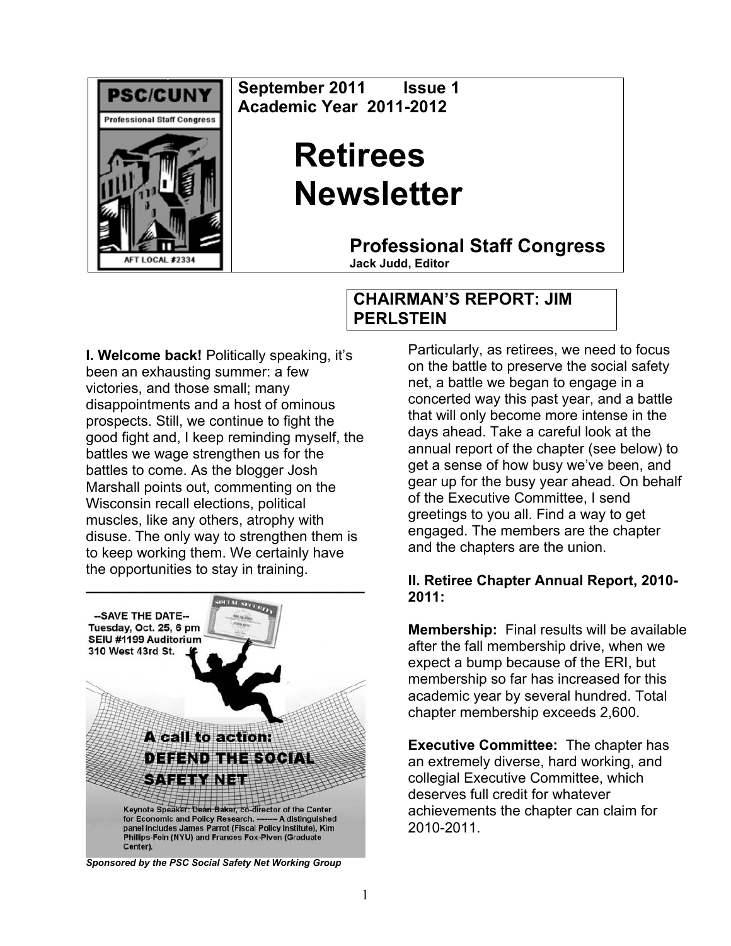

**September 2011 Issue 1 Academic Year 2011-2012** 

# **Retirees Newsletter**

**Professional Staff Congress**

**Jack Judd, Editor**

## **CHAIRMAN'S REPORT: JIM PERLSTEIN**

**I. Welcome back!** Politically speaking, it's been an exhausting summer: a few victories, and those small; many disappointments and a host of ominous prospects. Still, we continue to fight the good fight and, I keep reminding myself, the battles we wage strengthen us for the battles to come. As the blogger Josh Marshall points out, commenting on the Wisconsin recall elections, political muscles, like any others, atrophy with disuse. The only way to strengthen them is to keep working them. We certainly have the opportunities to stay in training.



Particularly, as retirees, we need to focus on the battle to preserve the social safety net, a battle we began to engage in a concerted way this past year, and a battle that will only become more intense in the days ahead. Take a careful look at the annual report of the chapter (see below) to get a sense of how busy we've been, and gear up for the busy year ahead. On behalf of the Executive Committee, I send greetings to you all. Find a way to get engaged. The members are the chapter and the chapters are the union.

#### **II. Retiree Chapter Annual Report, 2010- 2011:**

**Membership:** Final results will be available after the fall membership drive, when we expect a bump because of the ERI, but membership so far has increased for this academic year by several hundred. Total chapter membership exceeds 2,600.

**Executive Committee:** The chapter has an extremely diverse, hard working, and collegial Executive Committee, which deserves full credit for whatever achievements the chapter can claim for 2010-2011.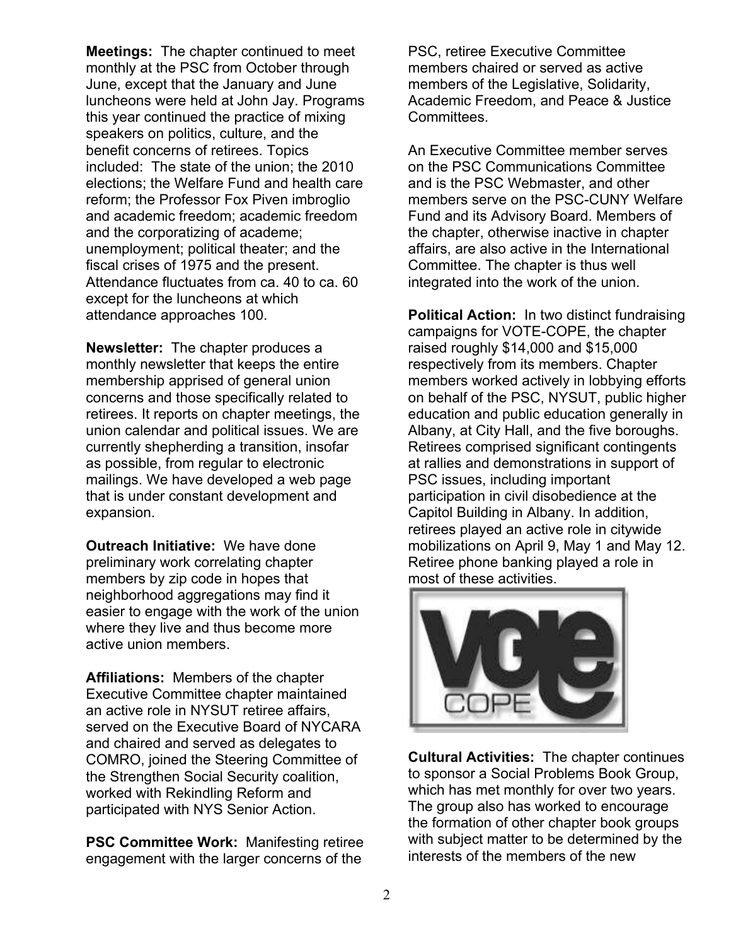**Meetings:** The chapter continued to meet monthly at the PSC from October through June, except that the January and June luncheons were held at John Jay. Programs this year continued the practice of mixing speakers on politics, culture, and the benefit concerns of retirees. Topics included: The state of the union; the 2010 elections; the Welfare Fund and health care reform; the Professor Fox Piven imbroglio and academic freedom; academic freedom and the corporatizing of academe; unemployment; political theater; and the fiscal crises of 1975 and the present. Attendance fluctuates from ca. 40 to ca. 60 except for the luncheons at which attendance approaches 100.

**Newsletter:** The chapter produces a monthly newsletter that keeps the entire membership apprised of general union concerns and those specifically related to retirees. It reports on chapter meetings, the union calendar and political issues. We are currently shepherding a transition, insofar as possible, from regular to electronic mailings. We have developed a web page that is under constant development and expansion.

**Outreach Initiative:** We have done preliminary work correlating chapter members by zip code in hopes that neighborhood aggregations may find it easier to engage with the work of the union where they live and thus become more active union members.

**Affiliations:** Members of the chapter Executive Committee chapter maintained an active role in NYSUT retiree affairs, served on the Executive Board of NYCARA and chaired and served as delegates to COMRO, joined the Steering Committee of the Strengthen Social Security coalition, worked with Rekindling Reform and participated with NYS Senior Action.

**PSC Committee Work:** Manifesting retiree engagement with the larger concerns of the

PSC, retiree Executive Committee members chaired or served as active members of the Legislative, Solidarity, Academic Freedom, and Peace & Justice Committees.

An Executive Committee member serves on the PSC Communications Committee and is the PSC Webmaster, and other members serve on the PSC-CUNY Welfare Fund and its Advisory Board. Members of the chapter, otherwise inactive in chapter affairs, are also active in the International Committee. The chapter is thus well integrated into the work of the union.

**Political Action:** In two distinct fundraising campaigns for VOTE-COPE, the chapter raised roughly \$14,000 and \$15,000 respectively from its members. Chapter members worked actively in lobbying efforts on behalf of the PSC, NYSUT, public higher education and public education generally in Albany, at City Hall, and the five boroughs. Retirees comprised significant contingents at rallies and demonstrations in support of PSC issues, including important participation in civil disobedience at the Capitol Building in Albany. In addition, retirees played an active role in citywide mobilizations on April 9, May 1 and May 12. Retiree phone banking played a role in most of these activities.



**Cultural Activities:** The chapter continues to sponsor a Social Problems Book Group, which has met monthly for over two years. The group also has worked to encourage the formation of other chapter book groups with subject matter to be determined by the interests of the members of the new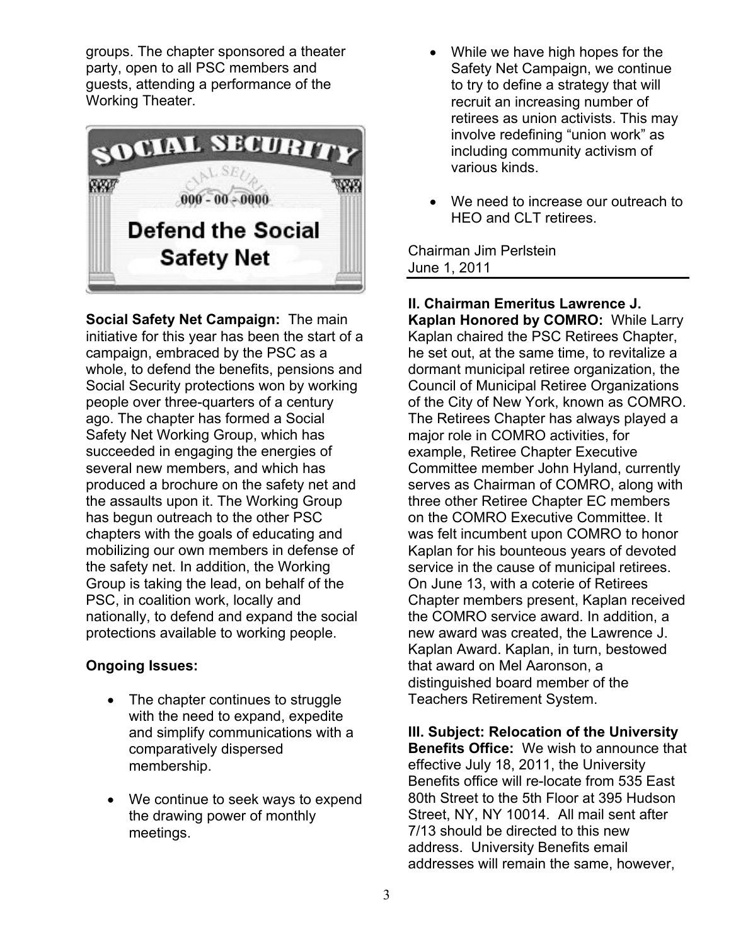groups. The chapter sponsored a theater party, open to all PSC members and guests, attending a performance of the Working Theater.



**Social Safety Net Campaign:** The main initiative for this year has been the start of a campaign, embraced by the PSC as a whole, to defend the benefits, pensions and Social Security protections won by working people over three-quarters of a century ago. The chapter has formed a Social Safety Net Working Group, which has succeeded in engaging the energies of several new members, and which has produced a brochure on the safety net and the assaults upon it. The Working Group has begun outreach to the other PSC chapters with the goals of educating and mobilizing our own members in defense of the safety net. In addition, the Working Group is taking the lead, on behalf of the PSC, in coalition work, locally and nationally, to defend and expand the social protections available to working people.

### **Ongoing Issues:**

- The chapter continues to struggle with the need to expand, expedite and simplify communications with a comparatively dispersed membership.
- We continue to seek ways to expend the drawing power of monthly meetings.
- While we have high hopes for the Safety Net Campaign, we continue to try to define a strategy that will recruit an increasing number of retirees as union activists. This may involve redefining "union work" as including community activism of various kinds.
- We need to increase our outreach to HEO and CLT retirees.

Chairman Jim Perlstein June 1, 2011

**II. Chairman Emeritus Lawrence J. Kaplan Honored by COMRO:** While Larry Kaplan chaired the PSC Retirees Chapter, he set out, at the same time, to revitalize a dormant municipal retiree organization, the Council of Municipal Retiree Organizations of the City of New York, known as COMRO. The Retirees Chapter has always played a major role in COMRO activities, for example, Retiree Chapter Executive Committee member John Hyland, currently serves as Chairman of COMRO, along with three other Retiree Chapter EC members on the COMRO Executive Committee. It was felt incumbent upon COMRO to honor Kaplan for his bounteous years of devoted service in the cause of municipal retirees. On June 13, with a coterie of Retirees Chapter members present, Kaplan received the COMRO service award. In addition, a new award was created, the Lawrence J. Kaplan Award. Kaplan, in turn, bestowed that award on Mel Aaronson, a distinguished board member of the Teachers Retirement System.

**III. Subject: Relocation of the University Benefits Office:** We wish to announce that effective July 18, 2011, the University Benefits office will re-locate from 535 East 80th Street to the 5th Floor at 395 Hudson Street, NY, NY 10014. All mail sent after 7/13 should be directed to this new address. University Benefits email addresses will remain the same, however,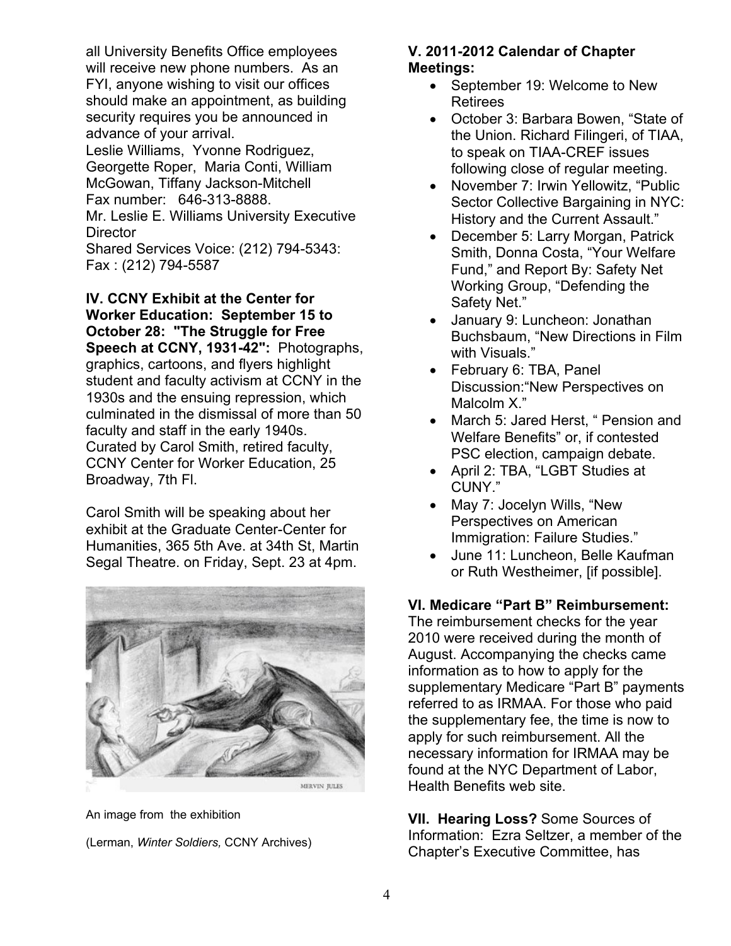all University Benefits Office employees will receive new phone numbers. As an FYI, anyone wishing to visit our offices should make an appointment, as building security requires you be announced in advance of your arrival.

Leslie Williams, Yvonne Rodriguez, Georgette Roper, Maria Conti, William McGowan, Tiffany Jackson-Mitchell Fax number: 646-313-8888.

Mr. Leslie E. Williams University Executive **Director** 

Shared Services Voice: (212) 794-5343: Fax : (212) 794-5587

**IV. CCNY Exhibit at the Center for Worker Education: September 15 to October 28: "The Struggle for Free Speech at CCNY, 1931-42":** Photographs, graphics, cartoons, and flyers highlight student and faculty activism at CCNY in the 1930s and the ensuing repression, which culminated in the dismissal of more than 50 faculty and staff in the early 1940s. Curated by Carol Smith, retired faculty, CCNY Center for Worker Education, 25 Broadway, 7th Fl.

Carol Smith will be speaking about her exhibit at the Graduate Center-Center for Humanities, 365 5th Ave. at 34th St, Martin Segal Theatre. on Friday, Sept. 23 at 4pm.



An image from the exhibition

(Lerman, *Winter Soldiers,* CCNY Archives)

### **V. 2011-2012 Calendar of Chapter Meetings:**

- September 19: Welcome to New Retirees
- October 3: Barbara Bowen, "State of the Union. Richard Filingeri, of TIAA, to speak on TIAA-CREF issues following close of regular meeting.
- November 7: Irwin Yellowitz, "Public Sector Collective Bargaining in NYC: History and the Current Assault."
- December 5: Larry Morgan, Patrick Smith, Donna Costa, "Your Welfare Fund," and Report By: Safety Net Working Group, "Defending the Safety Net."
- January 9: Luncheon: Jonathan Buchsbaum, "New Directions in Film with Visuals."
- February 6: TBA, Panel Discussion:"New Perspectives on Malcolm X."
- March 5: Jared Herst, " Pension and Welfare Benefits" or, if contested PSC election, campaign debate.
- April 2: TBA, "LGBT Studies at CUNY."
- May 7: Jocelyn Wills, "New Perspectives on American Immigration: Failure Studies."
- June 11: Luncheon, Belle Kaufman or Ruth Westheimer, [if possible].

### **VI. Medicare "Part B" Reimbursement:**

The reimbursement checks for the year 2010 were received during the month of August. Accompanying the checks came information as to how to apply for the supplementary Medicare "Part B" payments referred to as IRMAA. For those who paid the supplementary fee, the time is now to apply for such reimbursement. All the necessary information for IRMAA may be found at the NYC Department of Labor, Health Benefits web site.

**VII. Hearing Loss?** Some Sources of Information: Ezra Seltzer, a member of the Chapter's Executive Committee, has